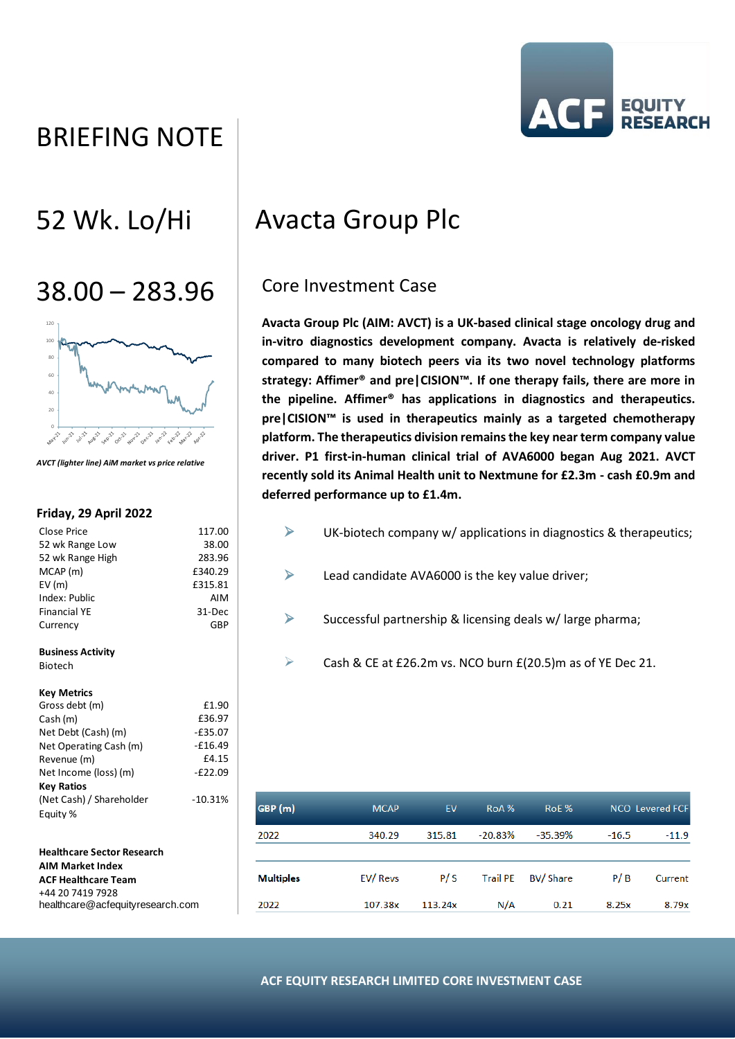# BRIEFING NOTE



# 38.00 – 283.96 Core Investment Case



*AVCT (lighter line) AiM market vs price relative*

## **Friday, 29 April 2022**

| Close Price                       | 117.00    |
|-----------------------------------|-----------|
| 52 wk Range Low                   | 38.00     |
| 52 wk Range High                  | 283.96    |
| $MCAP$ (m)                        | £340.29   |
| EV(m)                             | £315.81   |
| Index: Public                     | AIM       |
| <b>Financial YE</b>               | 31-Dec    |
| Currency                          | GBP       |
| <b>Business Activity</b>          |           |
| <b>Biotech</b>                    |           |
| <b>Key Metrics</b>                |           |
| Gross debt (m)                    | £1.90     |
| Cash (m)                          | £36.97    |
| Net Debt (Cash) (m)               | $-E35.07$ |
| Net Operating Cash (m)            | $-£16.49$ |
| Revenue (m)                       | £4.15     |
| Net Income (loss) (m)             | $-E22.09$ |
| <b>Key Ratios</b>                 |           |
| (Net Cash) / Shareholder          | $-10.31%$ |
| Equity %                          |           |
| <b>Healthcare Sector Research</b> |           |

## **AIM Market Index ACF Healthcare Team** +44 20 7419 7928 healthcare@acfequityresearch.com

# 52 Wk. Lo/Hi | Avacta Group Plc

**Avacta Group Plc (AIM: AVCT) is a UK-based clinical stage oncology drug and in-vitro diagnostics development company. Avacta is relatively de-risked compared to many biotech peers via its two novel technology platforms strategy: Affimer® and pre|CISION™. If one therapy fails, there are more in the pipeline. Affimer® has applications in diagnostics and therapeutics. pre|CISION™ is used in therapeutics mainly as a targeted chemotherapy platform. The therapeutics division remains the key near term company value driver. P1 first-in-human clinical trial of AVA6000 began Aug 2021. AVCT recently sold its Animal Health unit to Nextmune for £2.3m - cash £0.9m and deferred performance up to £1.4m.**

- $\triangleright$  UK-biotech company w/ applications in diagnostics & therapeutics;
- $\triangleright$  Lead candidate AVA6000 is the key value driver;
- $\triangleright$  Successful partnership & licensing deals w/ large pharma;
- $\triangleright$  Cash & CE at £26.2m vs. NCO burn  $E(20.5)$ m as of YE Dec 21.

| GBP (m)          | <b>MCAP</b> | EV      | RoA%            | RoE %           |         | <b>NCO</b> Levered FCF |
|------------------|-------------|---------|-----------------|-----------------|---------|------------------------|
| 2022             | 340.29      | 315.81  | $-20.83%$       | $-35.39%$       | $-16.5$ | $-11.9$                |
| <b>Multiples</b> | EV/Revs     | P/S     | <b>Trail PE</b> | <b>BV/Share</b> | P/B     | Current                |
| 2022             | 107.38x     | 113.24x | N/A             | 0.21            | 8.25x   | 8.79x                  |

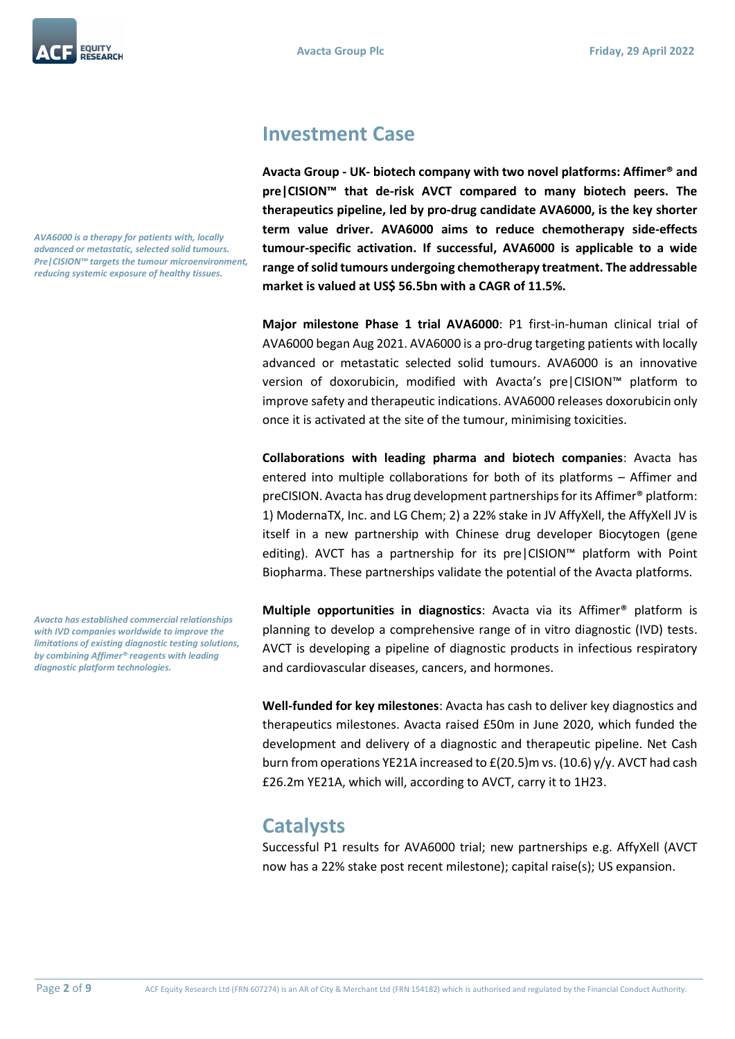*AVA6000 is a therapy for patients with, locally advanced or metastatic, selected solid tumours. Pre|CISION™ targets the tumour microenvironment, reducing systemic exposure of healthy tissues.*

*Avacta has established commercial relationships with IVD companies worldwide to improve the limitations of existing diagnostic testing solutions, by combining Affimer® reagents with leading diagnostic platform technologies.*

## **Investment Case**

**Avacta Group - UK- biotech company with two novel platforms: Affimer® and pre|CISION™ that de-risk AVCT compared to many biotech peers. The therapeutics pipeline, led by pro-drug candidate AVA6000, is the key shorter term value driver. AVA6000 aims to reduce chemotherapy side-effects tumour-specific activation. If successful, AVA6000 is applicable to a wide range of solid tumours undergoing chemotherapy treatment. The addressable market is valued at US\$ 56.5bn with a CAGR of 11.5%.**

**Major milestone Phase 1 trial AVA6000**: P1 first-in-human clinical trial of AVA6000 began Aug 2021. AVA6000 is a pro-drug targeting patients with locally advanced or metastatic selected solid tumours. AVA6000 is an innovative version of doxorubicin, modified with Avacta's pre|CISION™ platform to improve safety and therapeutic indications. AVA6000 releases doxorubicin only once it is activated at the site of the tumour, minimising toxicities.

**Collaborations with leading pharma and biotech companies**: Avacta has entered into multiple collaborations for both of its platforms – Affimer and preCISION. Avacta has drug development partnerships for its Affimer® platform: 1) ModernaTX, Inc. and LG Chem; 2) a 22% stake in JV AffyXell, the AffyXell JV is itself in a new partnership with Chinese drug developer Biocytogen (gene editing). AVCT has a partnership for its pre|CISION™ platform with Point Biopharma. These partnerships validate the potential of the Avacta platforms.

**Multiple opportunities in diagnostics**: Avacta via its Affimer® platform is planning to develop a comprehensive range of in vitro diagnostic (IVD) tests. AVCT is developing a pipeline of diagnostic products in infectious respiratory and cardiovascular diseases, cancers, and hormones.

**Well-funded for key milestones**: Avacta has cash to deliver key diagnostics and therapeutics milestones. Avacta raised £50m in June 2020, which funded the development and delivery of a diagnostic and therapeutic pipeline. Net Cash burn from operations YE21A increased to £(20.5)m vs. (10.6) y/y. AVCT had cash £26.2m YE21A, which will, according to AVCT, carry it to 1H23.

## **Catalysts**

Successful P1 results for AVA6000 trial; new partnerships e.g. AffyXell (AVCT now has a 22% stake post recent milestone); capital raise(s); US expansion.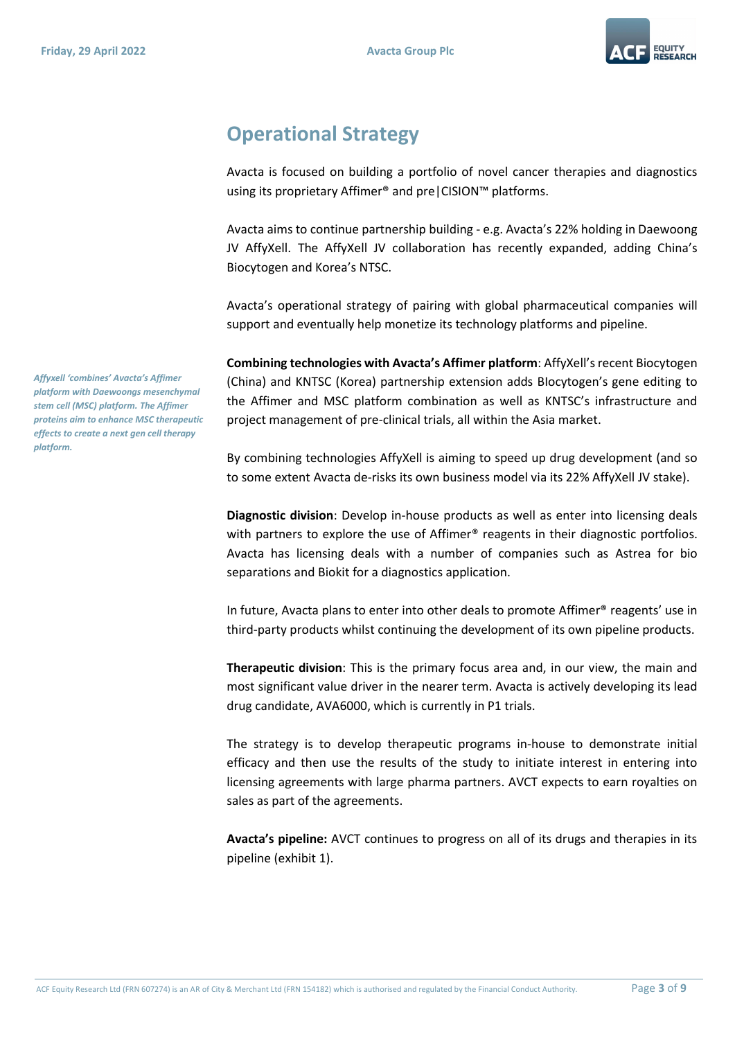

## **Operational Strategy**

Avacta is focused on building a portfolio of novel cancer therapies and diagnostics using its proprietary Affimer® and pre|CISION™ platforms.

Avacta aims to continue partnership building - e.g. Avacta's 22% holding in Daewoong JV AffyXell. The AffyXell JV collaboration has recently expanded, adding China's Biocytogen and Korea's NTSC.

Avacta's operational strategy of pairing with global pharmaceutical companies will support and eventually help monetize its technology platforms and pipeline.

**Combining technologies with Avacta's Affimer platform**: AffyXell's recent Biocytogen (China) and KNTSC (Korea) partnership extension adds BIocytogen's gene editing to the Affimer and MSC platform combination as well as KNTSC's infrastructure and project management of pre-clinical trials, all within the Asia market.

By combining technologies AffyXell is aiming to speed up drug development (and so to some extent Avacta de-risks its own business model via its 22% AffyXell JV stake).

**Diagnostic division**: Develop in-house products as well as enter into licensing deals with partners to explore the use of Affimer<sup>®</sup> reagents in their diagnostic portfolios. Avacta has licensing deals with a number of companies such as Astrea for bio separations and Biokit for a diagnostics application.

In future, Avacta plans to enter into other deals to promote Affimer<sup>®</sup> reagents' use in third-party products whilst continuing the development of its own pipeline products.

**Therapeutic division**: This is the primary focus area and, in our view, the main and most significant value driver in the nearer term. Avacta is actively developing its lead drug candidate, AVA6000, which is currently in P1 trials.

The strategy is to develop therapeutic programs in-house to demonstrate initial efficacy and then use the results of the study to initiate interest in entering into licensing agreements with large pharma partners. AVCT expects to earn royalties on sales as part of the agreements.

**Avacta's pipeline:** AVCT continues to progress on all of its drugs and therapies in its pipeline (exhibit 1).

*Affyxell 'combines' Avacta's Affimer platform with Daewoongs mesenchymal stem cell (MSC) platform. The Affimer proteins aim to enhance MSC therapeutic effects to create a next gen cell therapy platform.*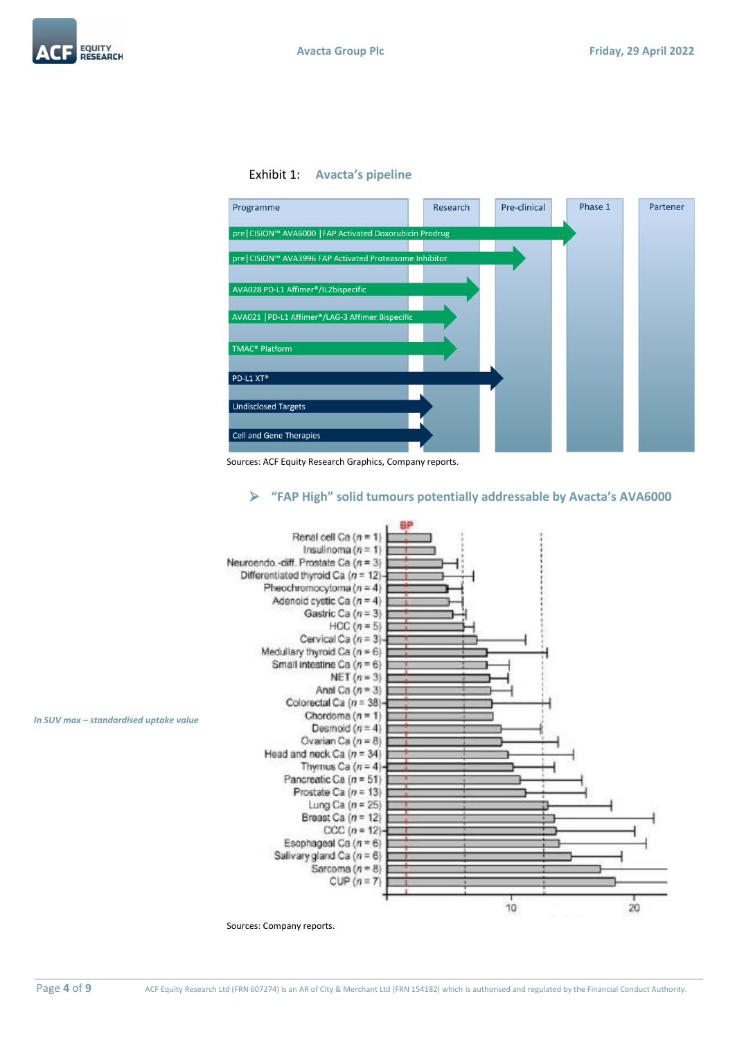





Sources: ACF Equity Research Graphics, Company reports.

## ➢ **"FAP High" solid tumours potentially addressable by Avacta's AVA6000**



*In SUV max – standardised uptake value*

Sources: Company reports.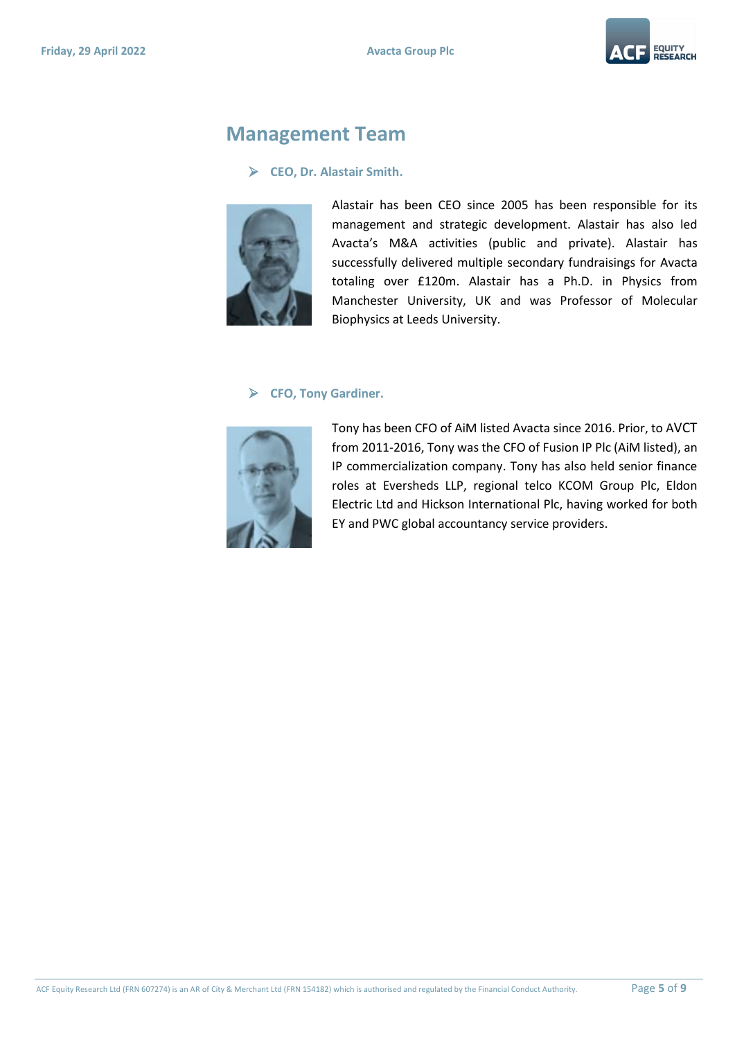

## **Management Team**

## ➢ **CEO, Dr. Alastair Smith.**



Alastair has been CEO since 2005 has been responsible for its management and strategic development. Alastair has also led Avacta's M&A activities (public and private). Alastair has successfully delivered multiple secondary fundraisings for Avacta totaling over £120m. Alastair has a Ph.D. in Physics from Manchester University, UK and was Professor of Molecular Biophysics at Leeds University.

## ➢ **CFO, Tony Gardiner.**



Tony has been CFO of AiM listed Avacta since 2016. Prior, to AVCT from 2011-2016, Tony was the CFO of Fusion IP Plc (AiM listed), an IP commercialization company. Tony has also held senior finance roles at Eversheds LLP, regional telco KCOM Group Plc, Eldon Electric Ltd and Hickson International Plc, having worked for both EY and PWC global accountancy service providers.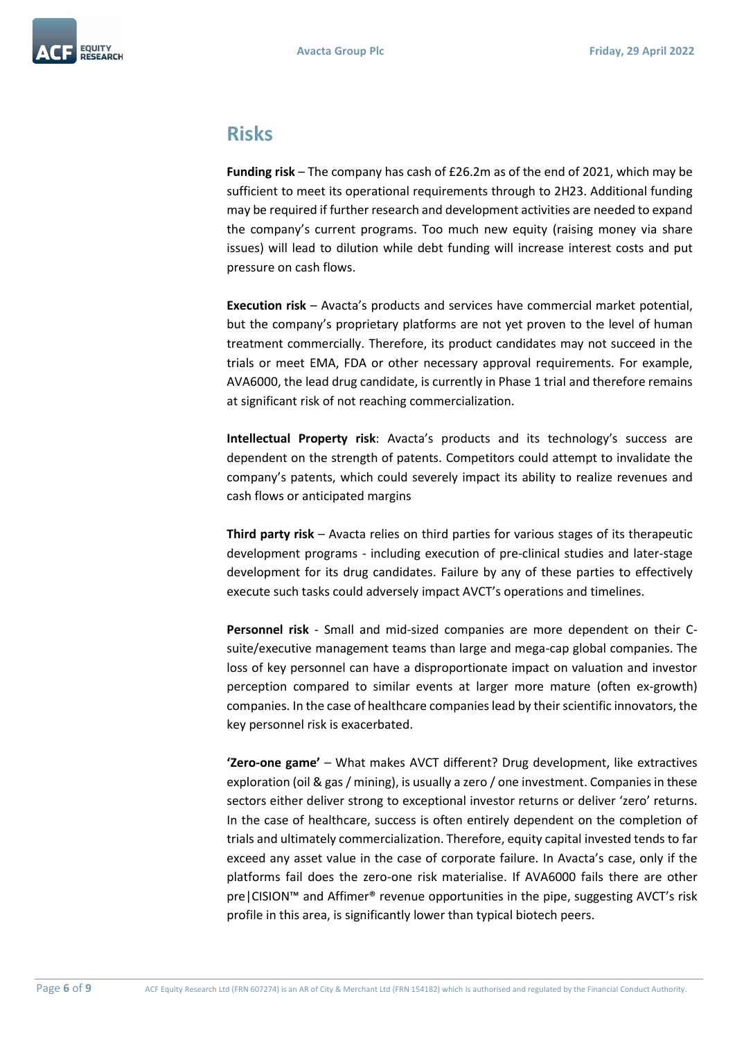

## **Risks**

**Funding risk** – The company has cash of £26.2m as of the end of 2021, which may be sufficient to meet its operational requirements through to 2H23. Additional funding may be required if further research and development activities are needed to expand the company's current programs. Too much new equity (raising money via share issues) will lead to dilution while debt funding will increase interest costs and put pressure on cash flows.

**Execution risk** – Avacta's products and services have commercial market potential, but the company's proprietary platforms are not yet proven to the level of human treatment commercially. Therefore, its product candidates may not succeed in the trials or meet EMA, FDA or other necessary approval requirements. For example, AVA6000, the lead drug candidate, is currently in Phase 1 trial and therefore remains at significant risk of not reaching commercialization.

**Intellectual Property risk**: Avacta's products and its technology's success are dependent on the strength of patents. Competitors could attempt to invalidate the company's patents, which could severely impact its ability to realize revenues and cash flows or anticipated margins

**Third party risk** – Avacta relies on third parties for various stages of its therapeutic development programs - including execution of pre-clinical studies and later-stage development for its drug candidates. Failure by any of these parties to effectively execute such tasks could adversely impact AVCT's operations and timelines.

**Personnel risk** - Small and mid-sized companies are more dependent on their Csuite/executive management teams than large and mega-cap global companies. The loss of key personnel can have a disproportionate impact on valuation and investor perception compared to similar events at larger more mature (often ex-growth) companies. In the case of healthcare companies lead by their scientific innovators, the key personnel risk is exacerbated.

**'Zero-one game'** – What makes AVCT different? Drug development, like extractives exploration (oil & gas / mining), is usually a zero / one investment. Companies in these sectors either deliver strong to exceptional investor returns or deliver 'zero' returns. In the case of healthcare, success is often entirely dependent on the completion of trials and ultimately commercialization. Therefore, equity capital invested tends to far exceed any asset value in the case of corporate failure. In Avacta's case, only if the platforms fail does the zero-one risk materialise. If AVA6000 fails there are other pre|CISION™ and Affimer® revenue opportunities in the pipe, suggesting AVCT's risk profile in this area, is significantly lower than typical biotech peers.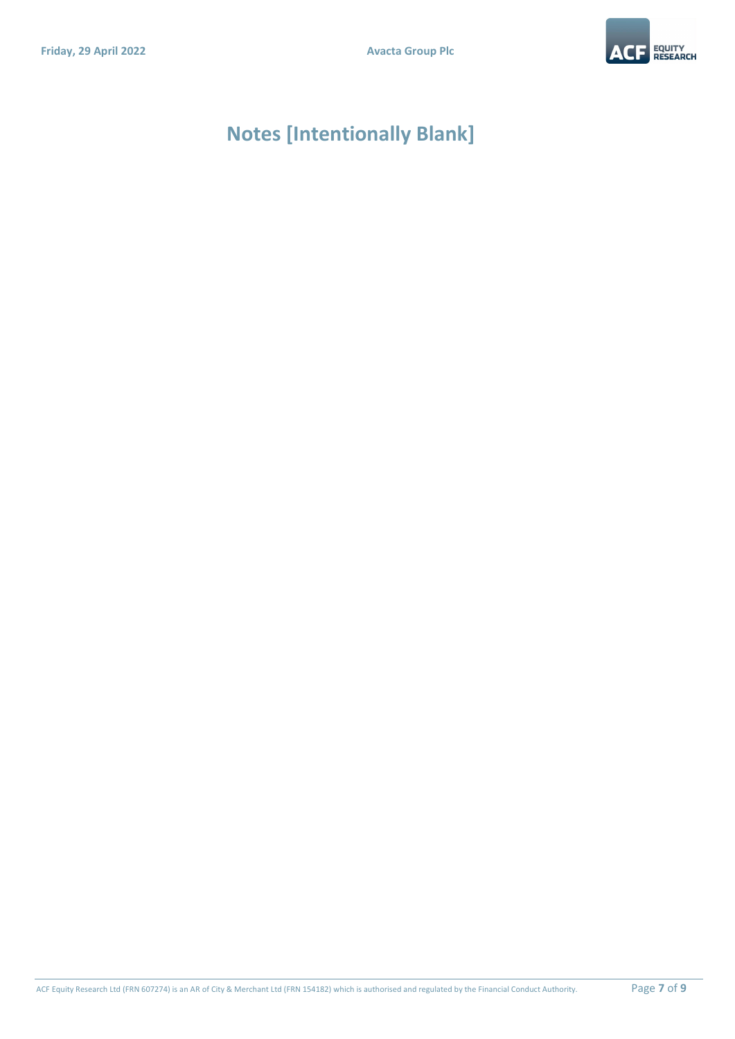

# **Notes [Intentionally Blank]**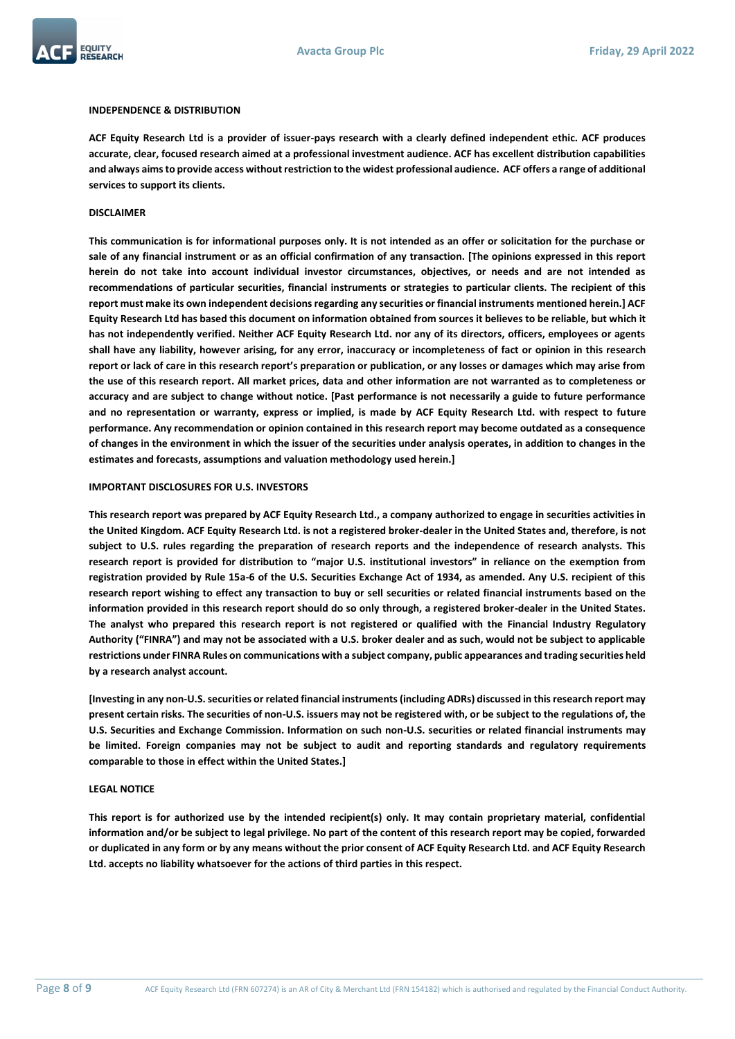



#### **INDEPENDENCE & DISTRIBUTION**

**ACF Equity Research Ltd is a provider of issuer-pays research with a clearly defined independent ethic. ACF produces accurate, clear, focused research aimed at a professional investment audience. ACF has excellent distribution capabilities and always aims to provide access without restriction to the widest professional audience. ACF offers a range of additional services to support its clients.**

#### **DISCLAIMER**

**This communication is for informational purposes only. It is not intended as an offer or solicitation for the purchase or sale of any financial instrument or as an official confirmation of any transaction. [The opinions expressed in this report herein do not take into account individual investor circumstances, objectives, or needs and are not intended as recommendations of particular securities, financial instruments or strategies to particular clients. The recipient of this report must make its own independent decisions regarding any securities or financial instruments mentioned herein.] ACF Equity Research Ltd has based this document on information obtained from sources it believes to be reliable, but which it has not independently verified. Neither ACF Equity Research Ltd. nor any of its directors, officers, employees or agents shall have any liability, however arising, for any error, inaccuracy or incompleteness of fact or opinion in this research report or lack of care in this research report's preparation or publication, or any losses or damages which may arise from the use of this research report. All market prices, data and other information are not warranted as to completeness or accuracy and are subject to change without notice. [Past performance is not necessarily a guide to future performance and no representation or warranty, express or implied, is made by ACF Equity Research Ltd. with respect to future performance. Any recommendation or opinion contained in this research report may become outdated as a consequence of changes in the environment in which the issuer of the securities under analysis operates, in addition to changes in the estimates and forecasts, assumptions and valuation methodology used herein.]**

#### **IMPORTANT DISCLOSURES FOR U.S. INVESTORS**

**This research report was prepared by ACF Equity Research Ltd., a company authorized to engage in securities activities in the United Kingdom. ACF Equity Research Ltd. is not a registered broker-dealer in the United States and, therefore, is not subject to U.S. rules regarding the preparation of research reports and the independence of research analysts. This research report is provided for distribution to "major U.S. institutional investors" in reliance on the exemption from registration provided by Rule 15a-6 of the U.S. Securities Exchange Act of 1934, as amended. Any U.S. recipient of this research report wishing to effect any transaction to buy or sell securities or related financial instruments based on the information provided in this research report should do so only through, a registered broker-dealer in the United States. The analyst who prepared this research report is not registered or qualified with the Financial Industry Regulatory Authority ("FINRA") and may not be associated with a U.S. broker dealer and as such, would not be subject to applicable restrictions under FINRA Rules on communications with a subject company, public appearances and trading securities held by a research analyst account.**

**[Investing in any non-U.S. securities or related financial instruments (including ADRs) discussed in this research report may present certain risks. The securities of non-U.S. issuers may not be registered with, or be subject to the regulations of, the U.S. Securities and Exchange Commission. Information on such non-U.S. securities or related financial instruments may be limited. Foreign companies may not be subject to audit and reporting standards and regulatory requirements comparable to those in effect within the United States.]**

#### **LEGAL NOTICE**

**This report is for authorized use by the intended recipient(s) only. It may contain proprietary material, confidential information and/or be subject to legal privilege. No part of the content of this research report may be copied, forwarded or duplicated in any form or by any means without the prior consent of ACF Equity Research Ltd. and ACF Equity Research Ltd. accepts no liability whatsoever for the actions of third parties in this respect.**